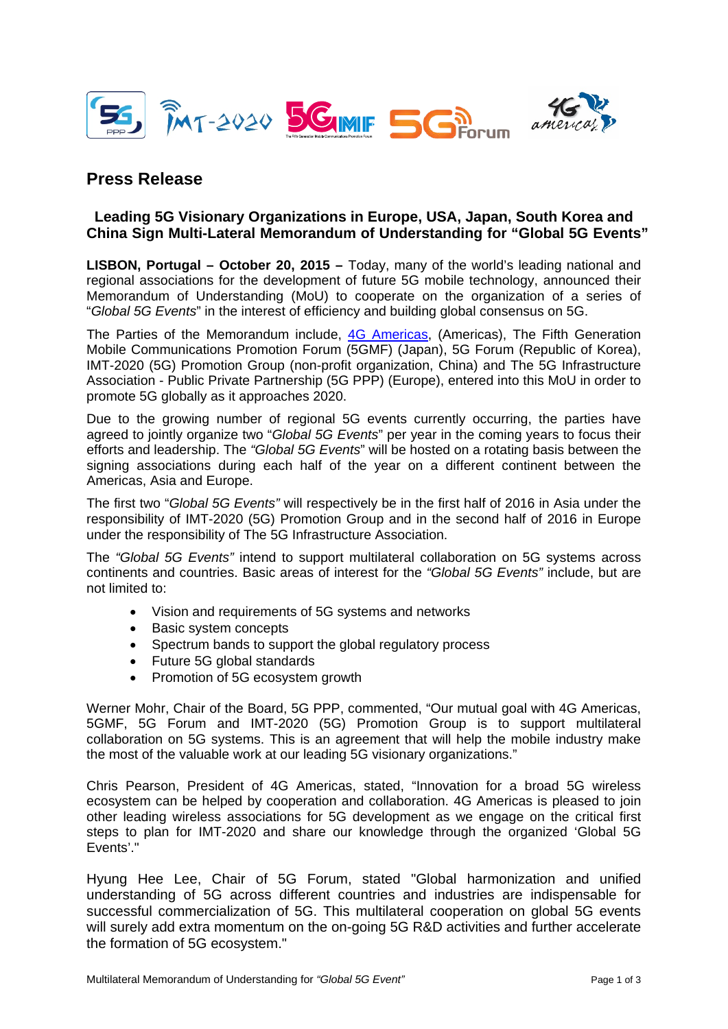

# **Press Release**

## **Leading 5G Visionary Organizations in Europe, USA, Japan, South Korea and China Sign Multi-Lateral Memorandum of Understanding for "Global 5G Events"**

**LISBON, Portugal – October 20, 2015 –** Today, many of the world's leading national and regional associations for the development of future 5G mobile technology, announced their Memorandum of Understanding (MoU) to cooperate on the organization of a series of "*Global 5G Events*" in the interest of efficiency and building global consensus on 5G.

The Parties of the Memorandum include, [4G Americas,](http://www.4gamericas.org/) (Americas), The Fifth Generation Mobile Communications Promotion Forum (5GMF) (Japan), 5G Forum (Republic of Korea), IMT-2020 (5G) Promotion Group (non-profit organization, China) and The 5G Infrastructure Association - Public Private Partnership (5G PPP) (Europe), entered into this MoU in order to promote 5G globally as it approaches 2020.

Due to the growing number of regional 5G events currently occurring, the parties have agreed to jointly organize two "*Global 5G Events*" per year in the coming years to focus their efforts and leadership. The *"Global 5G Events*" will be hosted on a rotating basis between the signing associations during each half of the year on a different continent between the Americas, Asia and Europe.

The first two "*Global 5G Events"* will respectively be in the first half of 2016 in Asia under the responsibility of IMT-2020 (5G) Promotion Group and in the second half of 2016 in Europe under the responsibility of The 5G Infrastructure Association.

The *"Global 5G Events"* intend to support multilateral collaboration on 5G systems across continents and countries. Basic areas of interest for the *"Global 5G Events"* include, but are not limited to:

- Vision and requirements of 5G systems and networks
- Basic system concepts
- Spectrum bands to support the global regulatory process
- Future 5G global standards
- Promotion of 5G ecosystem growth

Werner Mohr, Chair of the Board, 5G PPP, commented, "Our mutual goal with 4G Americas, 5GMF, 5G Forum and IMT-2020 (5G) Promotion Group is to support multilateral collaboration on 5G systems. This is an agreement that will help the mobile industry make the most of the valuable work at our leading 5G visionary organizations."

Chris Pearson, President of 4G Americas, stated, "Innovation for a broad 5G wireless ecosystem can be helped by cooperation and collaboration. 4G Americas is pleased to join other leading wireless associations for 5G development as we engage on the critical first steps to plan for IMT-2020 and share our knowledge through the organized 'Global 5G Events'."

Hyung Hee Lee, Chair of 5G Forum, stated "Global harmonization and unified understanding of 5G across different countries and industries are indispensable for successful commercialization of 5G. This multilateral cooperation on global 5G events will surely add extra momentum on the on-going 5G R&D activities and further accelerate the formation of 5G ecosystem."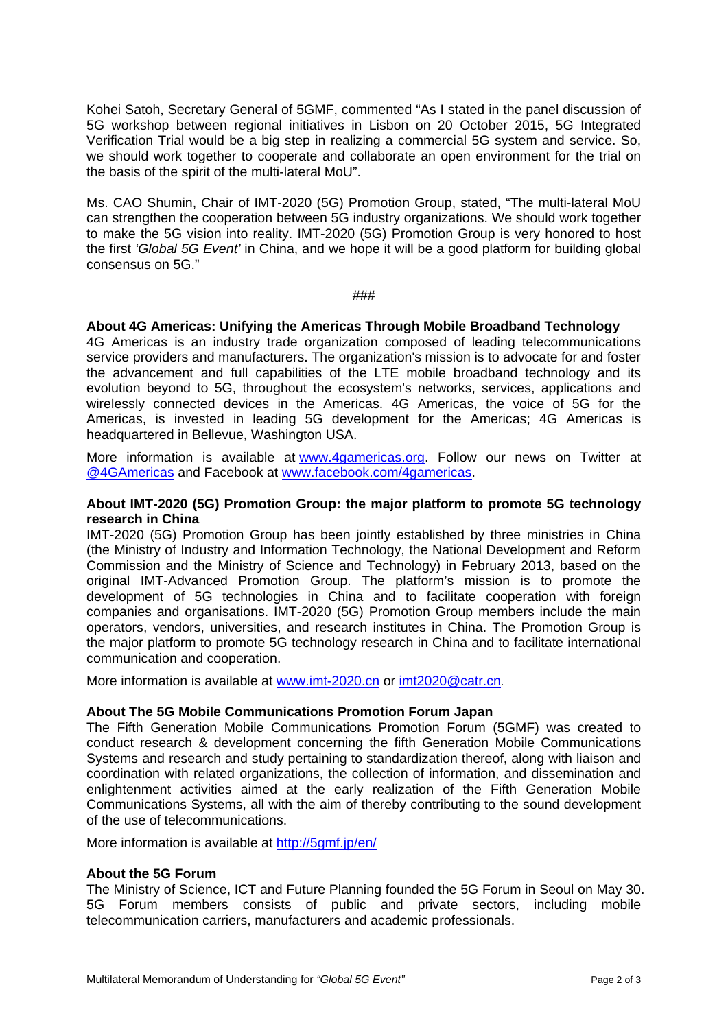Kohei Satoh, Secretary General of 5GMF, commented "As I stated in the panel discussion of 5G workshop between regional initiatives in Lisbon on 20 October 2015, 5G Integrated Verification Trial would be a big step in realizing a commercial 5G system and service. So, we should work together to cooperate and collaborate an open environment for the trial on the basis of the spirit of the multi-lateral MoU".

Ms. CAO Shumin, Chair of IMT-2020 (5G) Promotion Group, stated, "The multi-lateral MoU can strengthen the cooperation between 5G industry organizations. We should work together to make the 5G vision into reality. IMT-2020 (5G) Promotion Group is very honored to host the first *'Global 5G Event'* in China, and we hope it will be a good platform for building global consensus on 5G."

###

### **About 4G Americas: Unifying the Americas Through Mobile Broadband Technology**

4G Americas is an industry trade organization composed of leading telecommunications service providers and manufacturers. The organization's mission is to advocate for and foster the advancement and full capabilities of the LTE mobile broadband technology and its evolution beyond to 5G, throughout the ecosystem's networks, services, applications and wirelessly connected devices in the Americas. 4G Americas, the voice of 5G for the Americas, is invested in leading 5G development for the Americas; 4G Americas is headquartered in Bellevue, Washington USA.

More information is available at [www.4gamericas.org.](http://www.4gamericas.org/) Follow our news on Twitter at [@4GAmericas](http://www.twitter.com/4gamericas) and Facebook at [www.facebook.com/4gamericas.](http://www.facebook.com/4gamericas)

#### **About IMT-2020 (5G) Promotion Group: the major platform to promote 5G technology research in China**

IMT-2020 (5G) Promotion Group has been jointly established by three ministries in China (the Ministry of Industry and Information Technology, the National Development and Reform Commission and the Ministry of Science and Technology) in February 2013, based on the original IMT-Advanced Promotion Group. The platform's mission is to promote the development of 5G technologies in China and to facilitate cooperation with foreign companies and organisations. IMT-2020 (5G) Promotion Group members include the main operators, vendors, universities, and research institutes in China. The Promotion Group is the major platform to promote 5G technology research in China and to facilitate international communication and cooperation.

More information is available at www.imt-2020.cn or [imt2020@catr.cn.](mailto:imt2020@catr.cn)

#### **About The 5G Mobile Communications Promotion Forum Japan**

The Fifth Generation Mobile Communications Promotion Forum (5GMF) was created to conduct research & development concerning the fifth Generation Mobile Communications Systems and research and study pertaining to standardization thereof, along with liaison and coordination with related organizations, the collection of information, and dissemination and enlightenment activities aimed at the early realization of the Fifth Generation Mobile Communications Systems, all with the aim of thereby contributing to the sound development of the use of telecommunications.

More information is available at<http://5gmf.jp/en/>

#### **About the 5G Forum**

The Ministry of Science, ICT and Future Planning founded the 5G Forum in Seoul on May 30. 5G Forum members consists of public and private sectors, including mobile telecommunication carriers, manufacturers and academic professionals.